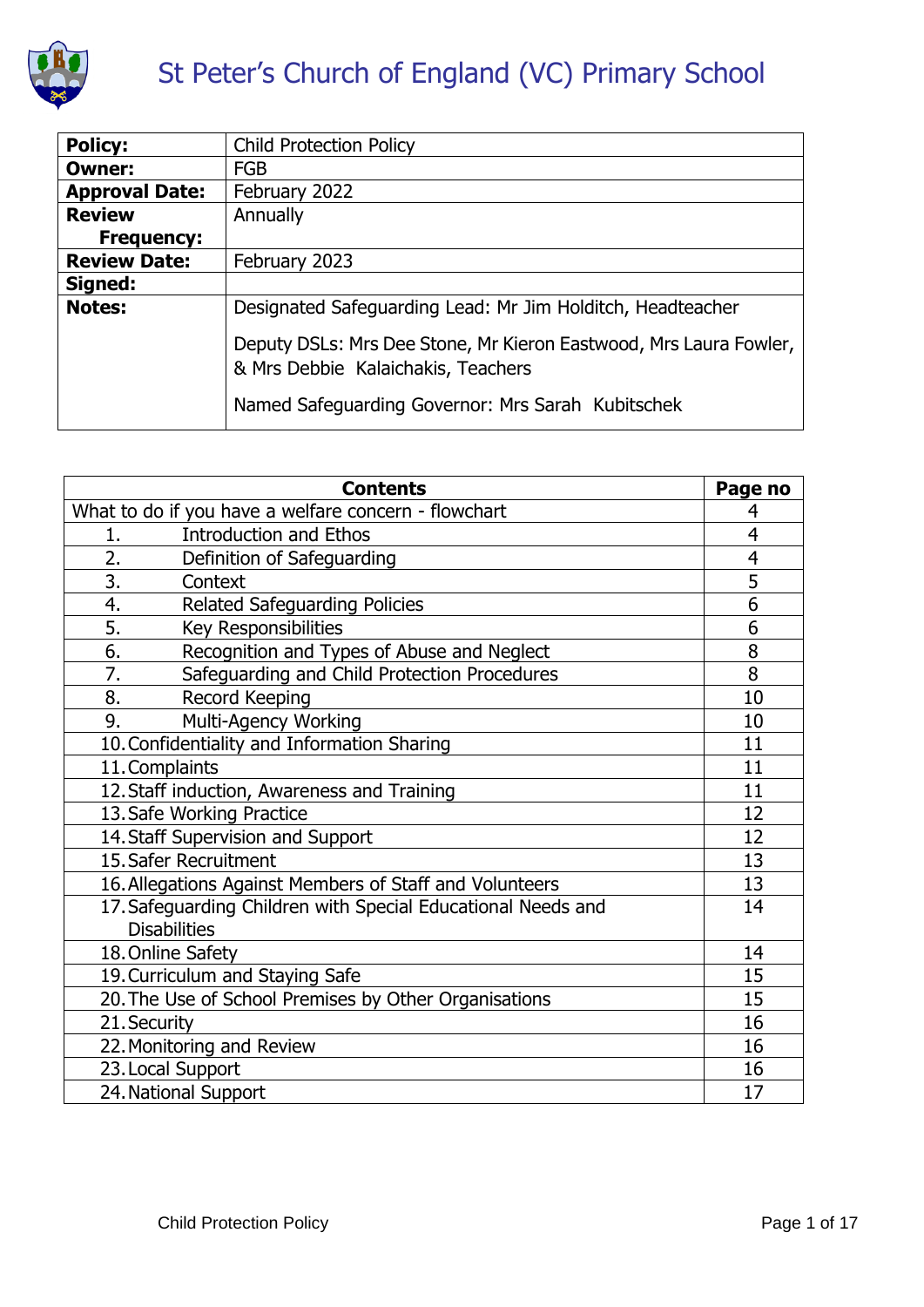

# St Peter's Church of England (VC) Primary School

| <b>Policy:</b>        | <b>Child Protection Policy</b>                                                                          |
|-----------------------|---------------------------------------------------------------------------------------------------------|
| <b>Owner:</b>         | <b>FGB</b>                                                                                              |
| <b>Approval Date:</b> | February 2022                                                                                           |
| <b>Review</b>         | Annually                                                                                                |
| <b>Frequency:</b>     |                                                                                                         |
| <b>Review Date:</b>   | February 2023                                                                                           |
| Signed:               |                                                                                                         |
| <b>Notes:</b>         | Designated Safeguarding Lead: Mr Jim Holditch, Headteacher                                              |
|                       | Deputy DSLs: Mrs Dee Stone, Mr Kieron Eastwood, Mrs Laura Fowler,<br>& Mrs Debbie Kalaichakis, Teachers |
|                       | Named Safeguarding Governor: Mrs Sarah Kubitschek                                                       |

| <b>Contents</b>                                                                     |                |
|-------------------------------------------------------------------------------------|----------------|
| What to do if you have a welfare concern - flowchart                                |                |
| <b>Introduction and Ethos</b><br>1.                                                 | 4              |
| 2.<br>Definition of Safeguarding                                                    | $\overline{4}$ |
| 3.<br>Context                                                                       | 5              |
| 4.<br><b>Related Safeguarding Policies</b>                                          | $\overline{6}$ |
| 5.<br><b>Key Responsibilities</b>                                                   | 6              |
| 6.<br>Recognition and Types of Abuse and Neglect                                    | 8              |
| 7.<br>Safeguarding and Child Protection Procedures                                  | 8              |
| 8.<br><b>Record Keeping</b>                                                         | 10             |
| 9.<br>Multi-Agency Working                                                          | 10             |
| 10. Confidentiality and Information Sharing                                         |                |
| 11. Complaints                                                                      |                |
| 12. Staff induction, Awareness and Training                                         |                |
| 13. Safe Working Practice                                                           |                |
| 14. Staff Supervision and Support                                                   |                |
| 15. Safer Recruitment                                                               |                |
| 16. Allegations Against Members of Staff and Volunteers                             |                |
| 17. Safeguarding Children with Special Educational Needs and<br><b>Disabilities</b> |                |
| 18. Online Safety                                                                   |                |
| 19. Curriculum and Staying Safe                                                     |                |
| 20. The Use of School Premises by Other Organisations                               |                |
| 21. Security                                                                        |                |
| 22. Monitoring and Review                                                           |                |
| 23. Local Support                                                                   |                |
| 24. National Support                                                                |                |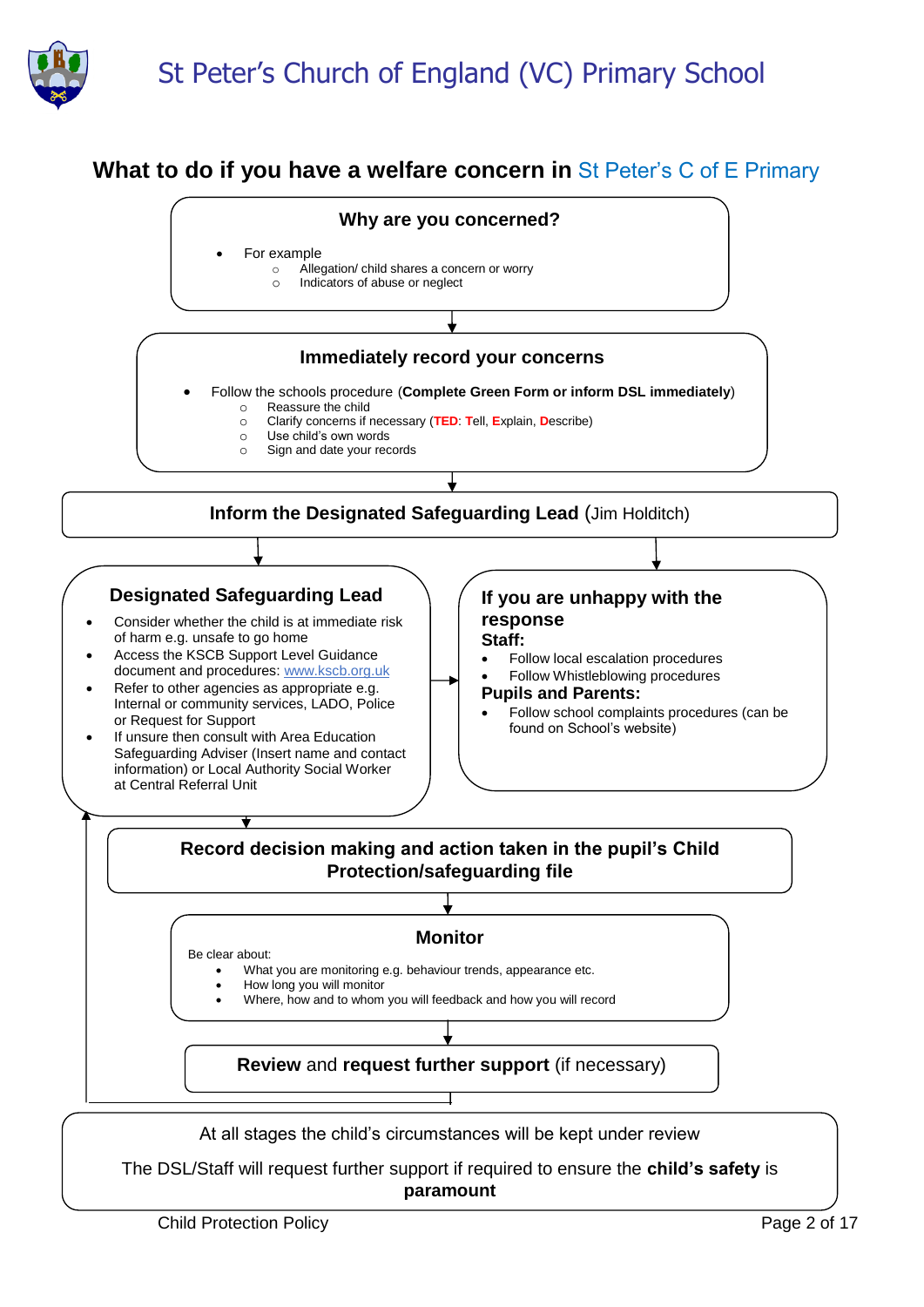

# **What to do if you have a welfare concern in St Peter's C of E Primary**

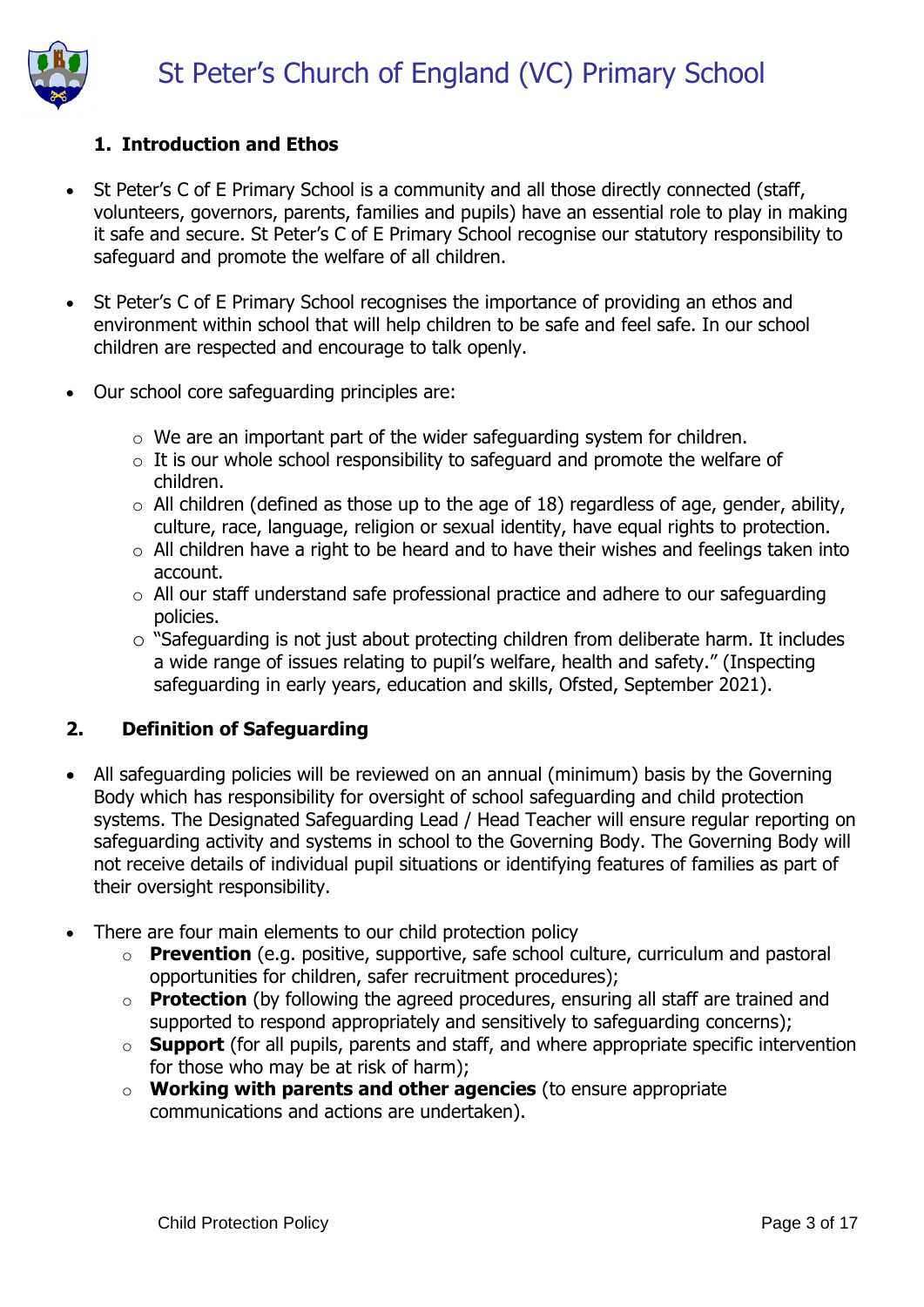

# **1. Introduction and Ethos**

- St Peter's C of E Primary School is a community and all those directly connected (staff, volunteers, governors, parents, families and pupils) have an essential role to play in making it safe and secure. St Peter's C of E Primary School recognise our statutory responsibility to safeguard and promote the welfare of all children.
- St Peter's C of E Primary School recognises the importance of providing an ethos and environment within school that will help children to be safe and feel safe. In our school children are respected and encourage to talk openly.
- Our school core safeguarding principles are:
	- $\circ$  We are an important part of the wider safeguarding system for children.
	- $\circ$  It is our whole school responsibility to safeguard and promote the welfare of children.
	- $\circ$  All children (defined as those up to the age of 18) regardless of age, gender, ability, culture, race, language, religion or sexual identity, have equal rights to protection.
	- $\circ$  All children have a right to be heard and to have their wishes and feelings taken into account.
	- o All our staff understand safe professional practice and adhere to our safeguarding policies.
	- o "Safeguarding is not just about protecting children from deliberate harm. It includes a wide range of issues relating to pupil's welfare, health and safety." (Inspecting safeguarding in early years, education and skills, Ofsted, September 2021).

### **2. Definition of Safeguarding**

- All safeguarding policies will be reviewed on an annual (minimum) basis by the Governing Body which has responsibility for oversight of school safeguarding and child protection systems. The Designated Safeguarding Lead / Head Teacher will ensure regular reporting on safeguarding activity and systems in school to the Governing Body. The Governing Body will not receive details of individual pupil situations or identifying features of families as part of their oversight responsibility.
- There are four main elements to our child protection policy
	- o **Prevention** (e.g. positive, supportive, safe school culture, curriculum and pastoral opportunities for children, safer recruitment procedures);
	- o **Protection** (by following the agreed procedures, ensuring all staff are trained and supported to respond appropriately and sensitively to safeguarding concerns);
	- o **Support** (for all pupils, parents and staff, and where appropriate specific intervention for those who may be at risk of harm);
	- o **Working with parents and other agencies** (to ensure appropriate communications and actions are undertaken).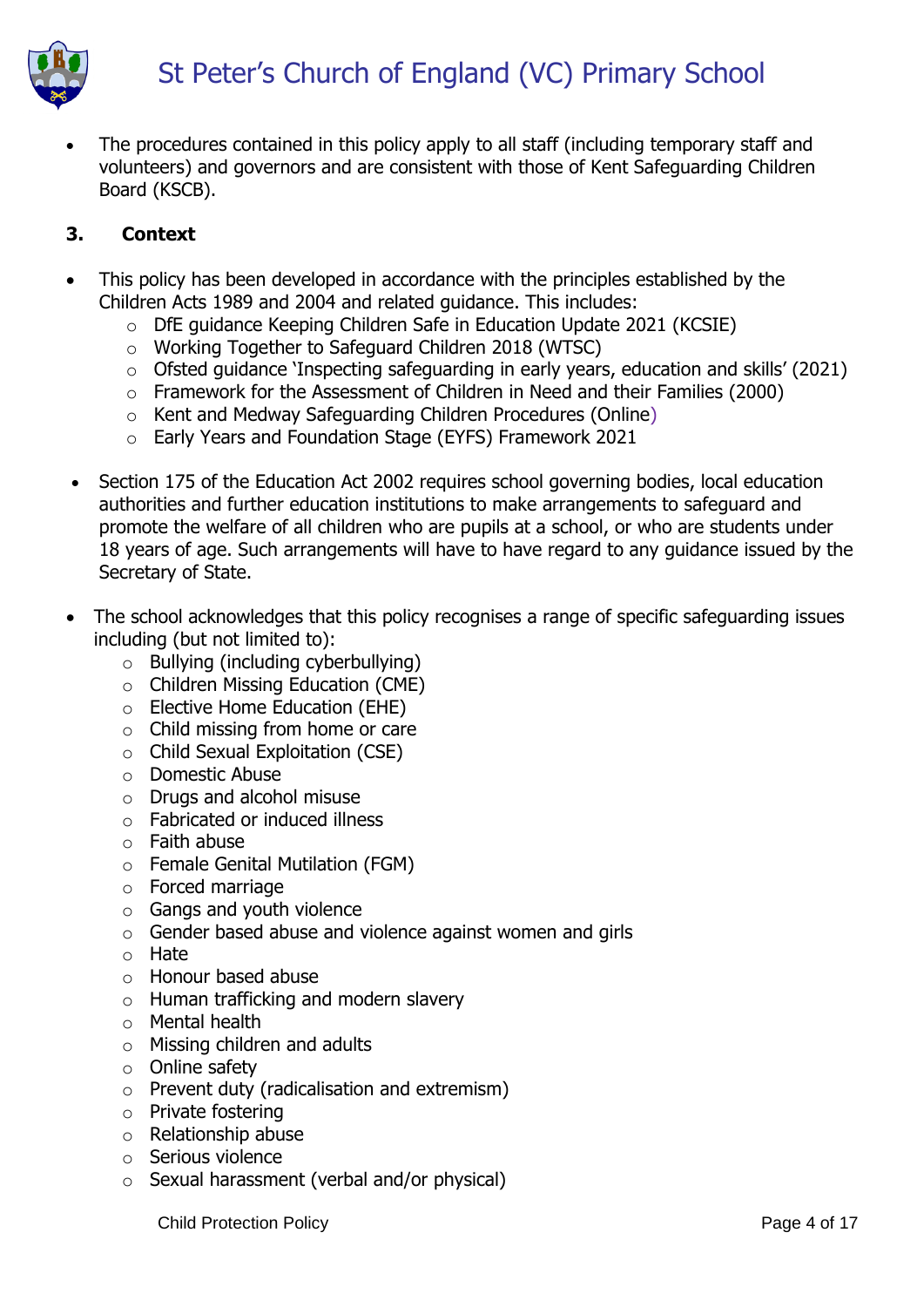

 The procedures contained in this policy apply to all staff (including temporary staff and volunteers) and governors and are consistent with those of Kent Safeguarding Children Board (KSCB).

# **3. Context**

- This policy has been developed in accordance with the principles established by the Children Acts 1989 and 2004 and related guidance. This includes:
	- o DfE guidance Keeping Children Safe in Education Update 2021 (KCSIE)
	- o Working Together to Safeguard Children 2018 (WTSC)
	- o Ofsted guidance 'Inspecting safeguarding in early years, education and skills' (2021)
	- o Framework for the Assessment of Children in Need and their Families (2000)
	- o Kent and Medway Safeguarding Children Procedures (Online)
	- o Early Years and Foundation Stage (EYFS) Framework 2021
- Section 175 of the Education Act 2002 requires school governing bodies, local education authorities and further education institutions to make arrangements to safeguard and promote the welfare of all children who are pupils at a school, or who are students under 18 years of age. Such arrangements will have to have regard to any guidance issued by the Secretary of State.
- The school acknowledges that this policy recognises a range of specific safeguarding issues including (but not limited to):
	- o Bullying (including cyberbullying)
	- o Children Missing Education (CME)
	- o Elective Home Education (EHE)
	- $\circ$  Child missing from home or care
	- $\circ$  Child Sexual Exploitation (CSE)
	- o Domestic Abuse
	- o Drugs and alcohol misuse
	- o Fabricated or induced illness
	- o Faith abuse
	- o Female Genital Mutilation (FGM)
	- o Forced marriage
	- o Gangs and youth violence
	- $\circ$  Gender based abuse and violence against women and girls
	- o Hate
	- o Honour based abuse
	- o Human trafficking and modern slavery
	- o Mental health
	- o Missing children and adults
	- o Online safety
	- o Prevent duty (radicalisation and extremism)
	- o Private fostering
	- o Relationship abuse
	- o Serious violence
	- o Sexual harassment (verbal and/or physical)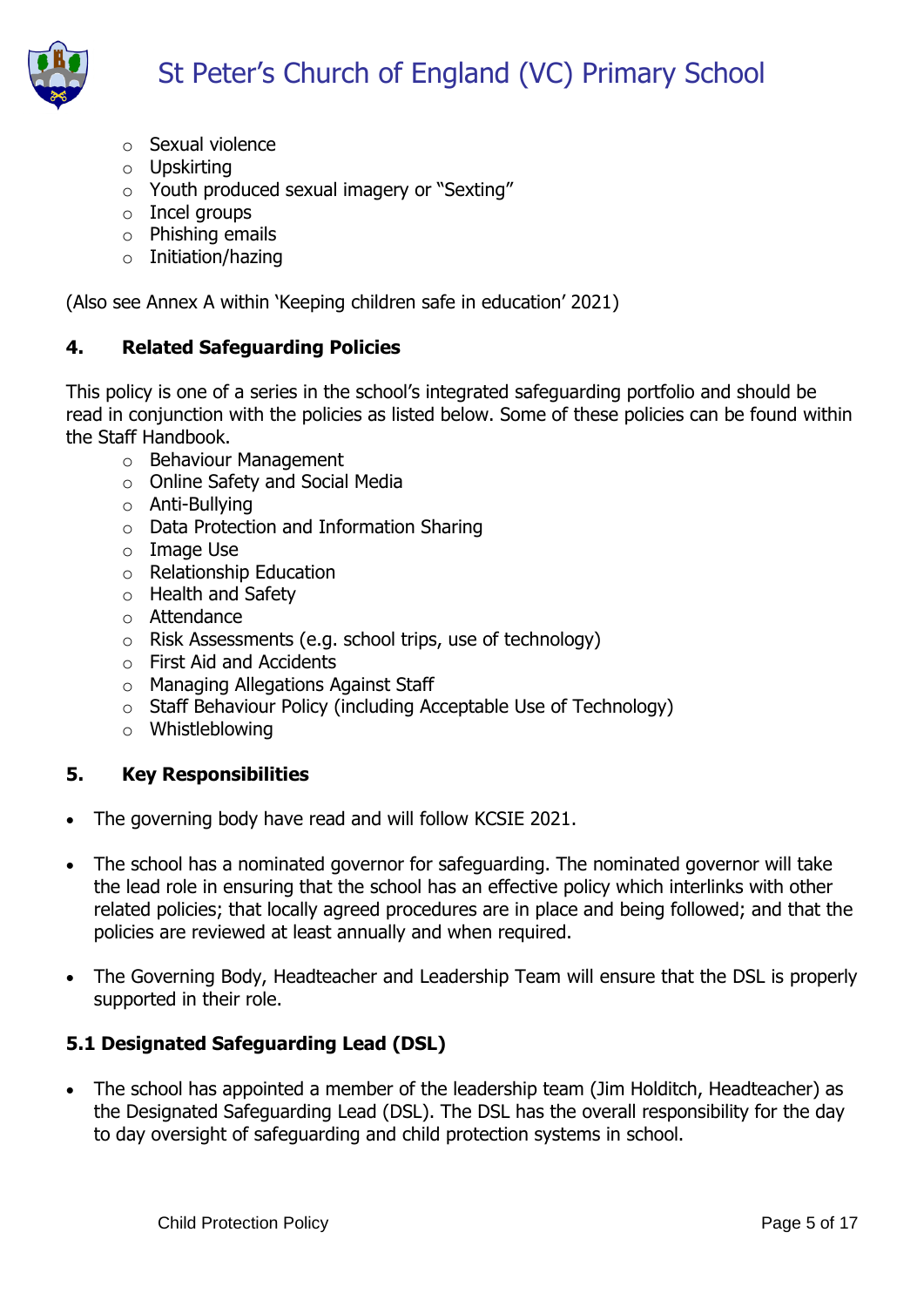

- o Sexual violence
- o Upskirting
- o Youth produced sexual imagery or "Sexting"
- o Incel groups
- o Phishing emails
- o Initiation/hazing

(Also see Annex A within 'Keeping children safe in education' 2021)

### **4. Related Safeguarding Policies**

This policy is one of a series in the school's integrated safeguarding portfolio and should be read in conjunction with the policies as listed below. Some of these policies can be found within the Staff Handbook.

- o Behaviour Management
- o Online Safety and Social Media
- o Anti-Bullying
- o Data Protection and Information Sharing
- o Image Use
- o Relationship Education
- o Health and Safety
- o Attendance
- o Risk Assessments (e.g. school trips, use of technology)
- o First Aid and Accidents
- o Managing Allegations Against Staff
- o Staff Behaviour Policy (including Acceptable Use of Technology)
- o Whistleblowing

### **5. Key Responsibilities**

- The governing body have read and will follow KCSIE 2021.
- The school has a nominated governor for safeguarding. The nominated governor will take the lead role in ensuring that the school has an effective policy which interlinks with other related policies; that locally agreed procedures are in place and being followed; and that the policies are reviewed at least annually and when required.
- The Governing Body, Headteacher and Leadership Team will ensure that the DSL is properly supported in their role.

# **5.1 Designated Safeguarding Lead (DSL)**

• The school has appointed a member of the leadership team (Jim Holditch, Headteacher) as the Designated Safeguarding Lead (DSL). The DSL has the overall responsibility for the day to day oversight of safeguarding and child protection systems in school.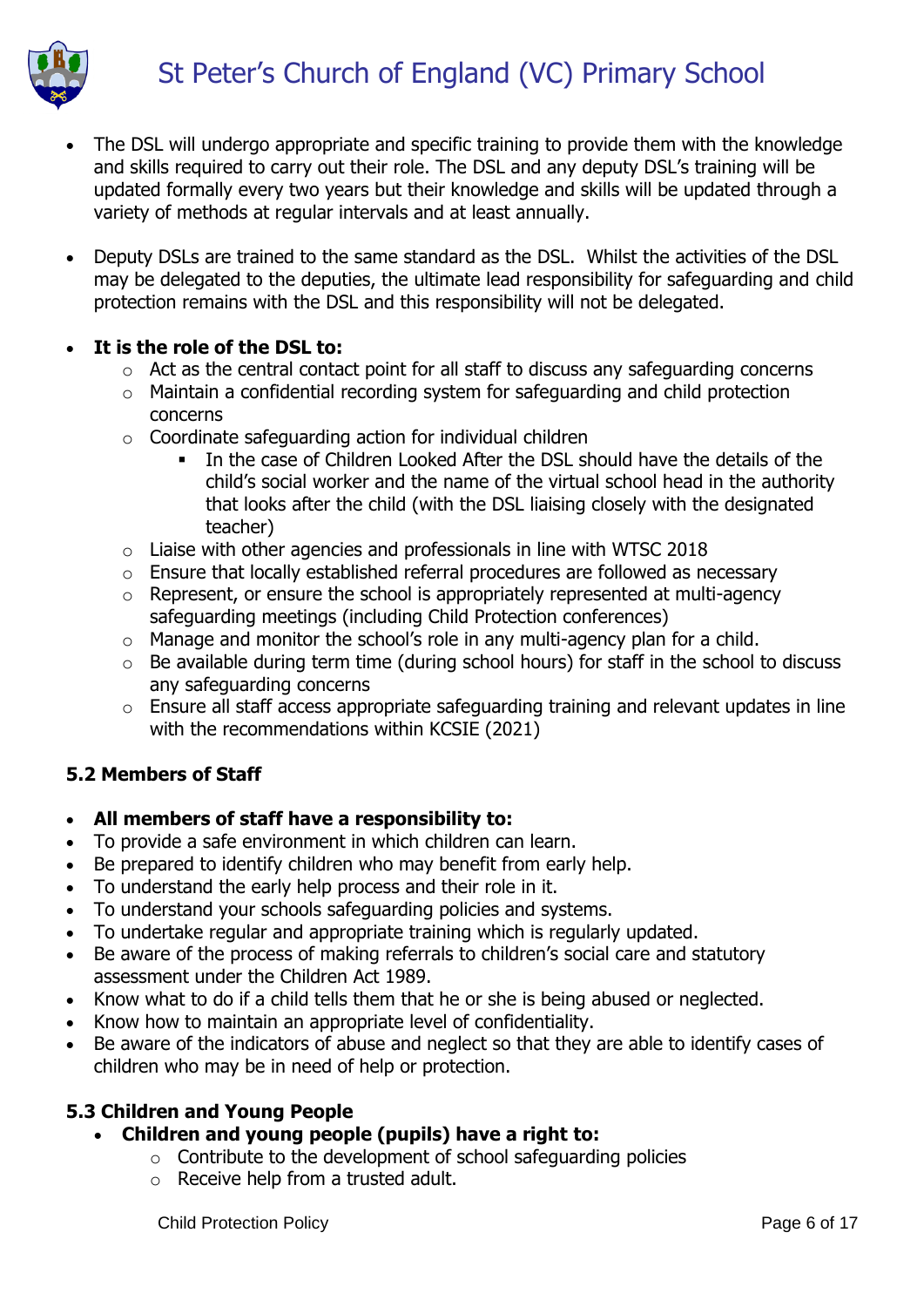

- The DSL will undergo appropriate and specific training to provide them with the knowledge and skills required to carry out their role. The DSL and any deputy DSL's training will be updated formally every two years but their knowledge and skills will be updated through a variety of methods at regular intervals and at least annually.
- Deputy DSLs are trained to the same standard as the DSL. Whilst the activities of the DSL may be delegated to the deputies, the ultimate lead responsibility for safeguarding and child protection remains with the DSL and this responsibility will not be delegated.

# **It is the role of the DSL to:**

- o Act as the central contact point for all staff to discuss any safeguarding concerns
- o Maintain a confidential recording system for safeguarding and child protection concerns
- $\circ$  Coordinate safeguarding action for individual children
	- In the case of Children Looked After the DSL should have the details of the child's social worker and the name of the virtual school head in the authority that looks after the child (with the DSL liaising closely with the designated teacher)
- $\circ$  Liaise with other agencies and professionals in line with WTSC 2018
- o Ensure that locally established referral procedures are followed as necessary
- o Represent, or ensure the school is appropriately represented at multi-agency safeguarding meetings (including Child Protection conferences)
- o Manage and monitor the school's role in any multi-agency plan for a child.
- $\circ$  Be available during term time (during school hours) for staff in the school to discuss any safeguarding concerns
- o Ensure all staff access appropriate safeguarding training and relevant updates in line with the recommendations within KCSIE (2021)

### **5.2 Members of Staff**

### **All members of staff have a responsibility to:**

- To provide a safe environment in which children can learn.
- Be prepared to identify children who may benefit from early help.
- To understand the early help process and their role in it.
- To understand your schools safeguarding policies and systems.
- To undertake regular and appropriate training which is regularly updated.
- Be aware of the process of making referrals to children's social care and statutory assessment under the Children Act 1989.
- Know what to do if a child tells them that he or she is being abused or neglected.
- Know how to maintain an appropriate level of confidentiality.
- Be aware of the indicators of abuse and neglect so that they are able to identify cases of children who may be in need of help or protection.

### **5.3 Children and Young People**

### **Children and young people (pupils) have a right to:**

- $\circ$  Contribute to the development of school safeguarding policies
- o Receive help from a trusted adult.

Child Protection Policy **Page 6 of 17**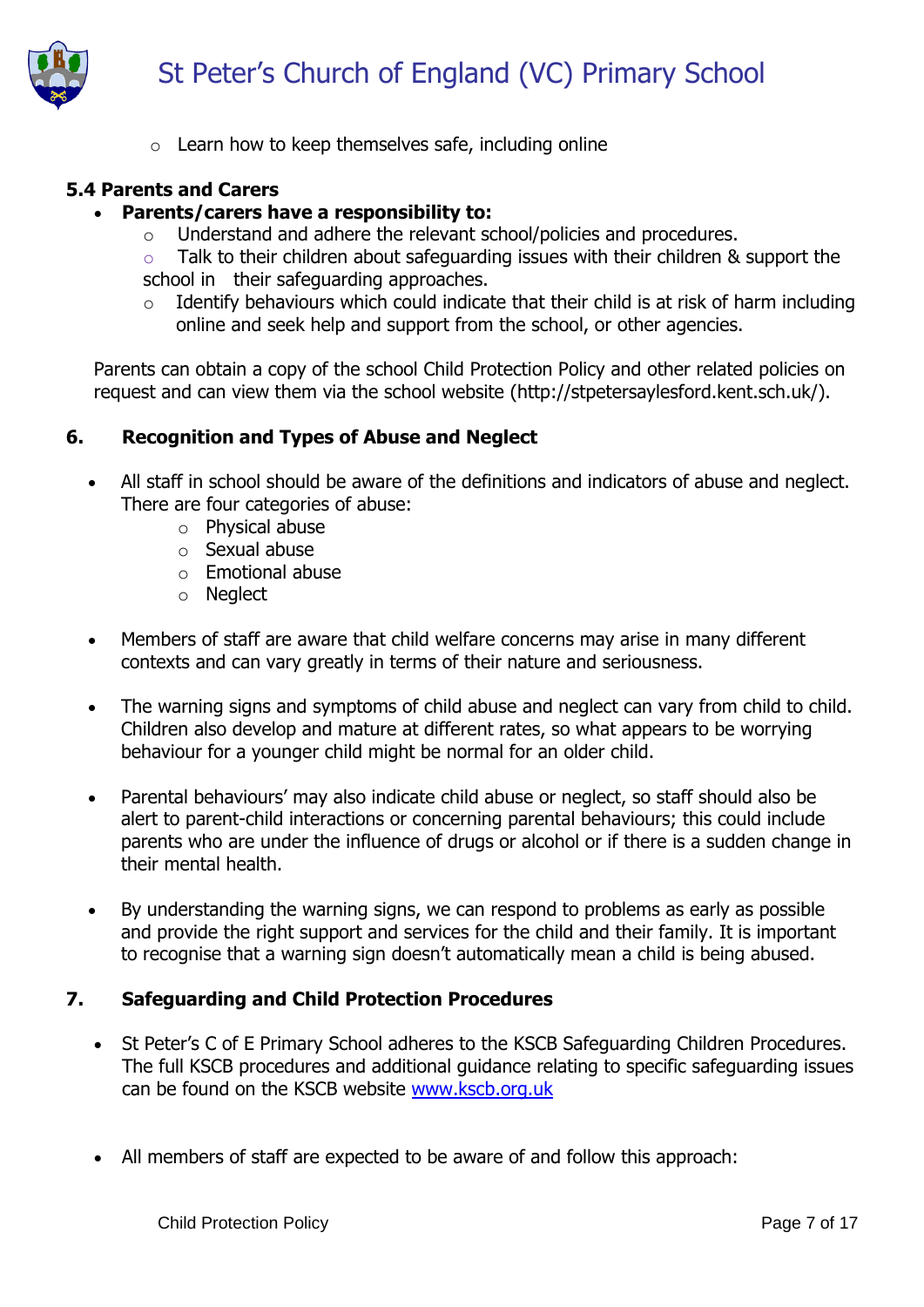

o Learn how to keep themselves safe, including online

# **5.4 Parents and Carers**

#### **Parents/carers have a responsibility to:**

- o Understand and adhere the relevant school/policies and procedures.
- o Talk to their children about safeguarding issues with their children & support the school in their safeguarding approaches.
- $\circ$  Identify behaviours which could indicate that their child is at risk of harm including online and seek help and support from the school, or other agencies.

Parents can obtain a copy of the school Child Protection Policy and other related policies on request and can view them via the school website (http://stpetersaylesford.kent.sch.uk/).

### **6. Recognition and Types of Abuse and Neglect**

- All staff in school should be aware of the definitions and indicators of abuse and neglect. There are four categories of abuse:
	- o Physical abuse
	- o Sexual abuse
	- o Emotional abuse
	- o Neglect
- Members of staff are aware that child welfare concerns may arise in many different contexts and can vary greatly in terms of their nature and seriousness.
- The warning signs and symptoms of child abuse and neglect can vary from child to child. Children also develop and mature at different rates, so what appears to be worrying behaviour for a younger child might be normal for an older child.
- Parental behaviours' may also indicate child abuse or neglect, so staff should also be alert to parent-child interactions or concerning parental behaviours; this could include parents who are under the influence of drugs or alcohol or if there is a sudden change in their mental health.
- By understanding the warning signs, we can respond to problems as early as possible and provide the right support and services for the child and their family. It is important to recognise that a warning sign doesn't automatically mean a child is being abused.

### **7. Safeguarding and Child Protection Procedures**

- St Peter's C of E Primary School adheres to the KSCB Safeguarding Children Procedures. The full KSCB procedures and additional guidance relating to specific safeguarding issues can be found on the KSCB website [www.kscb.org.uk](http://www.kscb.org.uk/)
- All members of staff are expected to be aware of and follow this approach: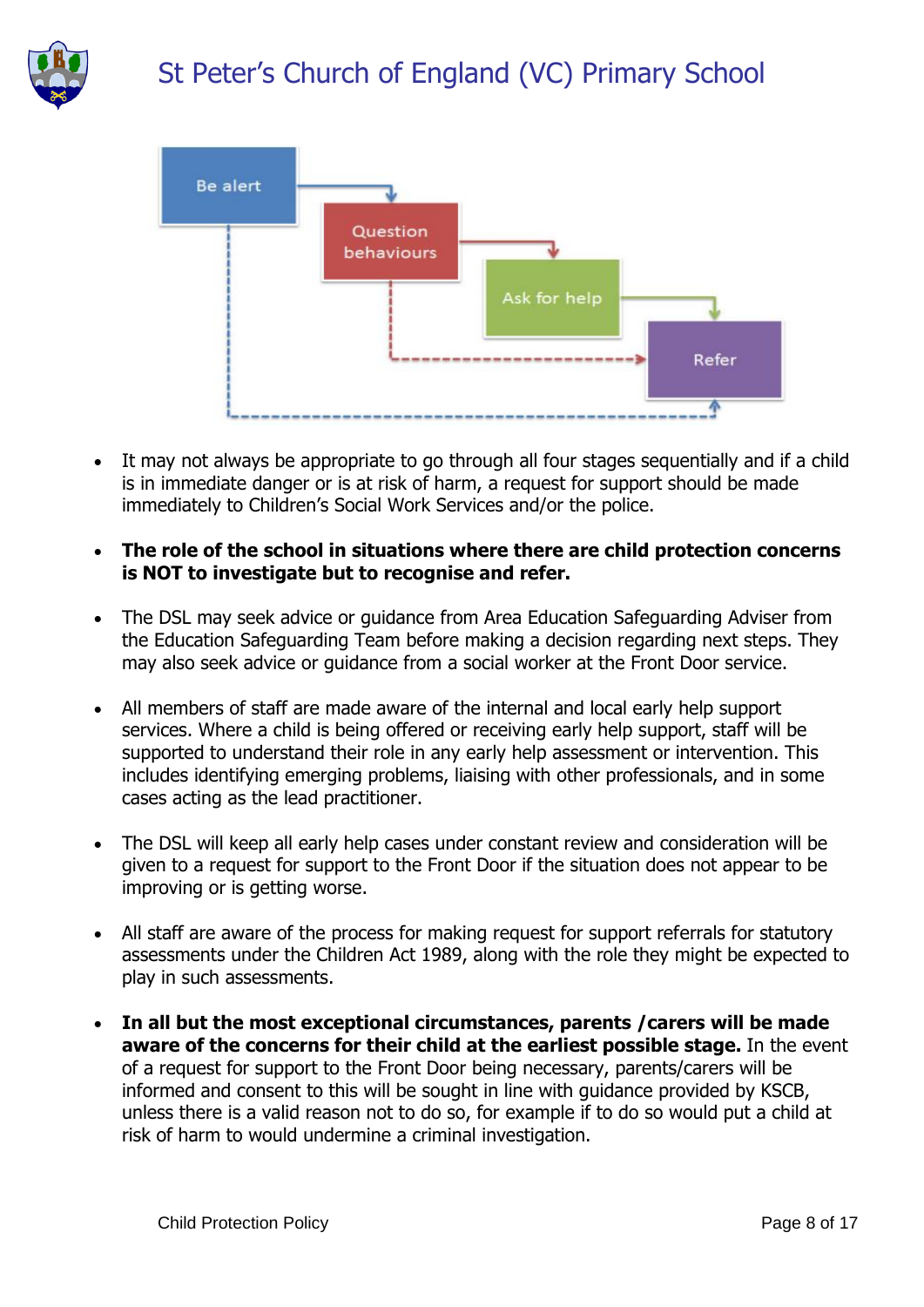



- It may not always be appropriate to go through all four stages sequentially and if a child is in immediate danger or is at risk of harm, a request for support should be made immediately to Children's Social Work Services and/or the police.
- **The role of the school in situations where there are child protection concerns is NOT to investigate but to recognise and refer.**
- The DSL may seek advice or guidance from Area Education Safeguarding Adviser from the Education Safeguarding Team before making a decision regarding next steps. They may also seek advice or guidance from a social worker at the Front Door service.
- All members of staff are made aware of the internal and local early help support services. Where a child is being offered or receiving early help support, staff will be supported to understand their role in any early help assessment or intervention. This includes identifying emerging problems, liaising with other professionals, and in some cases acting as the lead practitioner.
- The DSL will keep all early help cases under constant review and consideration will be given to a request for support to the Front Door if the situation does not appear to be improving or is getting worse.
- All staff are aware of the process for making request for support referrals for statutory assessments under the Children Act 1989, along with the role they might be expected to play in such assessments.
- **In all but the most exceptional circumstances, parents /carers will be made aware of the concerns for their child at the earliest possible stage.** In the event of a request for support to the Front Door being necessary, parents/carers will be informed and consent to this will be sought in line with guidance provided by KSCB, unless there is a valid reason not to do so, for example if to do so would put a child at risk of harm to would undermine a criminal investigation.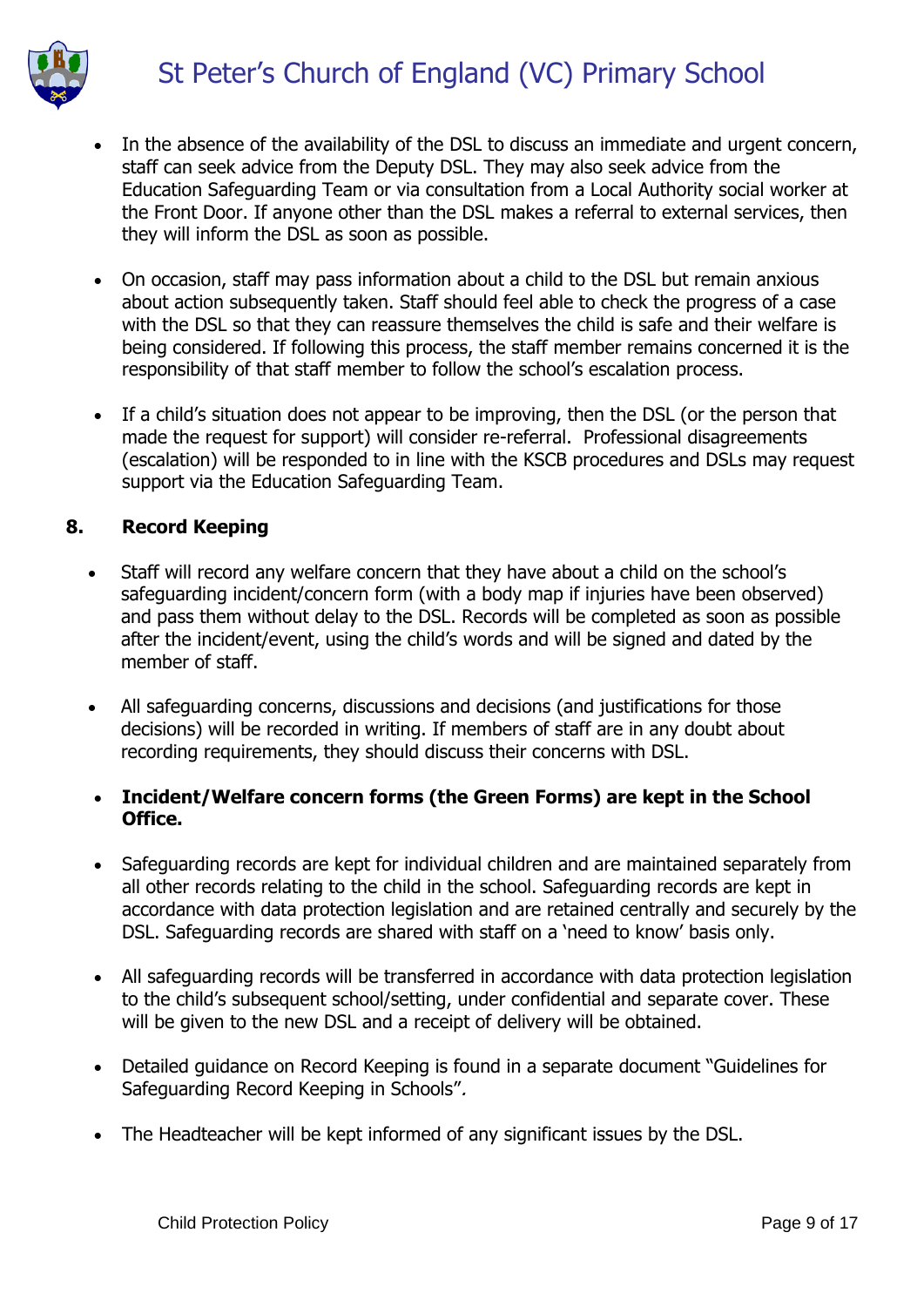- In the absence of the availability of the DSL to discuss an immediate and urgent concern, staff can seek advice from the Deputy DSL. They may also seek advice from the Education Safeguarding Team or via consultation from a Local Authority social worker at the Front Door. If anyone other than the DSL makes a referral to external services, then they will inform the DSL as soon as possible.
- On occasion, staff may pass information about a child to the DSL but remain anxious about action subsequently taken. Staff should feel able to check the progress of a case with the DSL so that they can reassure themselves the child is safe and their welfare is being considered. If following this process, the staff member remains concerned it is the responsibility of that staff member to follow the school's escalation process.
- If a child's situation does not appear to be improving, then the DSL (or the person that made the request for support) will consider re-referral. Professional disagreements (escalation) will be responded to in line with the KSCB procedures and DSLs may request support via the Education Safeguarding Team.

#### **8. Record Keeping**

- Staff will record any welfare concern that they have about a child on the school's safeguarding incident/concern form (with a body map if injuries have been observed) and pass them without delay to the DSL. Records will be completed as soon as possible after the incident/event, using the child's words and will be signed and dated by the member of staff.
- All safeguarding concerns, discussions and decisions (and justifications for those decisions) will be recorded in writing. If members of staff are in any doubt about recording requirements, they should discuss their concerns with DSL.

### **Incident/Welfare concern forms (the Green Forms) are kept in the School Office.**

- Safeguarding records are kept for individual children and are maintained separately from all other records relating to the child in the school. Safeguarding records are kept in accordance with data protection legislation and are retained centrally and securely by the DSL. Safeguarding records are shared with staff on a 'need to know' basis only.
- All safeguarding records will be transferred in accordance with data protection legislation to the child's subsequent school/setting, under confidential and separate cover. These will be given to the new DSL and a receipt of delivery will be obtained.
- Detailed guidance on Record Keeping is found in a separate document "Guidelines for Safeguarding Record Keeping in Schools".
- The Headteacher will be kept informed of any significant issues by the DSL.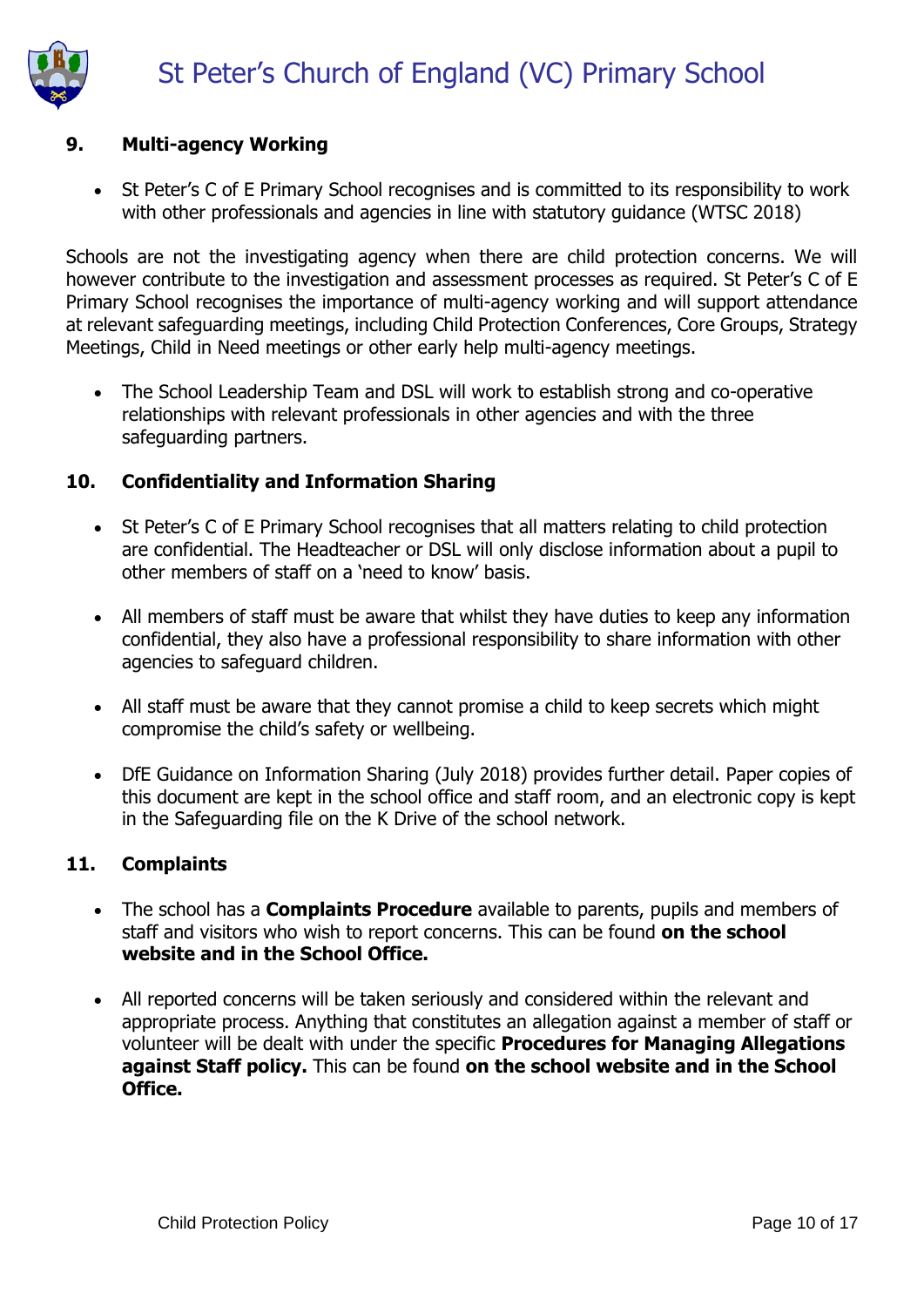

# **9. Multi-agency Working**

• St Peter's C of E Primary School recognises and is committed to its responsibility to work with other professionals and agencies in line with statutory guidance (WTSC 2018)

Schools are not the investigating agency when there are child protection concerns. We will however contribute to the investigation and assessment processes as required. St Peter's C of E Primary School recognises the importance of multi-agency working and will support attendance at relevant safeguarding meetings, including Child Protection Conferences, Core Groups, Strategy Meetings, Child in Need meetings or other early help multi-agency meetings.

• The School Leadership Team and DSL will work to establish strong and co-operative relationships with relevant professionals in other agencies and with the three safeguarding partners.

### **10. Confidentiality and Information Sharing**

- St Peter's C of E Primary School recognises that all matters relating to child protection are confidential. The Headteacher or DSL will only disclose information about a pupil to other members of staff on a 'need to know' basis.
- All members of staff must be aware that whilst they have duties to keep any information confidential, they also have a professional responsibility to share information with other agencies to safeguard children.
- All staff must be aware that they cannot promise a child to keep secrets which might compromise the child's safety or wellbeing.
- DfE Guidance on Information Sharing (July 2018) provides further detail. Paper copies of this document are kept in the school office and staff room, and an electronic copy is kept in the Safeguarding file on the K Drive of the school network.

### **11. Complaints**

- The school has a **Complaints Procedure** available to parents, pupils and members of staff and visitors who wish to report concerns. This can be found **on the school website and in the School Office.**
- All reported concerns will be taken seriously and considered within the relevant and appropriate process. Anything that constitutes an allegation against a member of staff or volunteer will be dealt with under the specific **Procedures for Managing Allegations against Staff policy.** This can be found **on the school website and in the School Office.**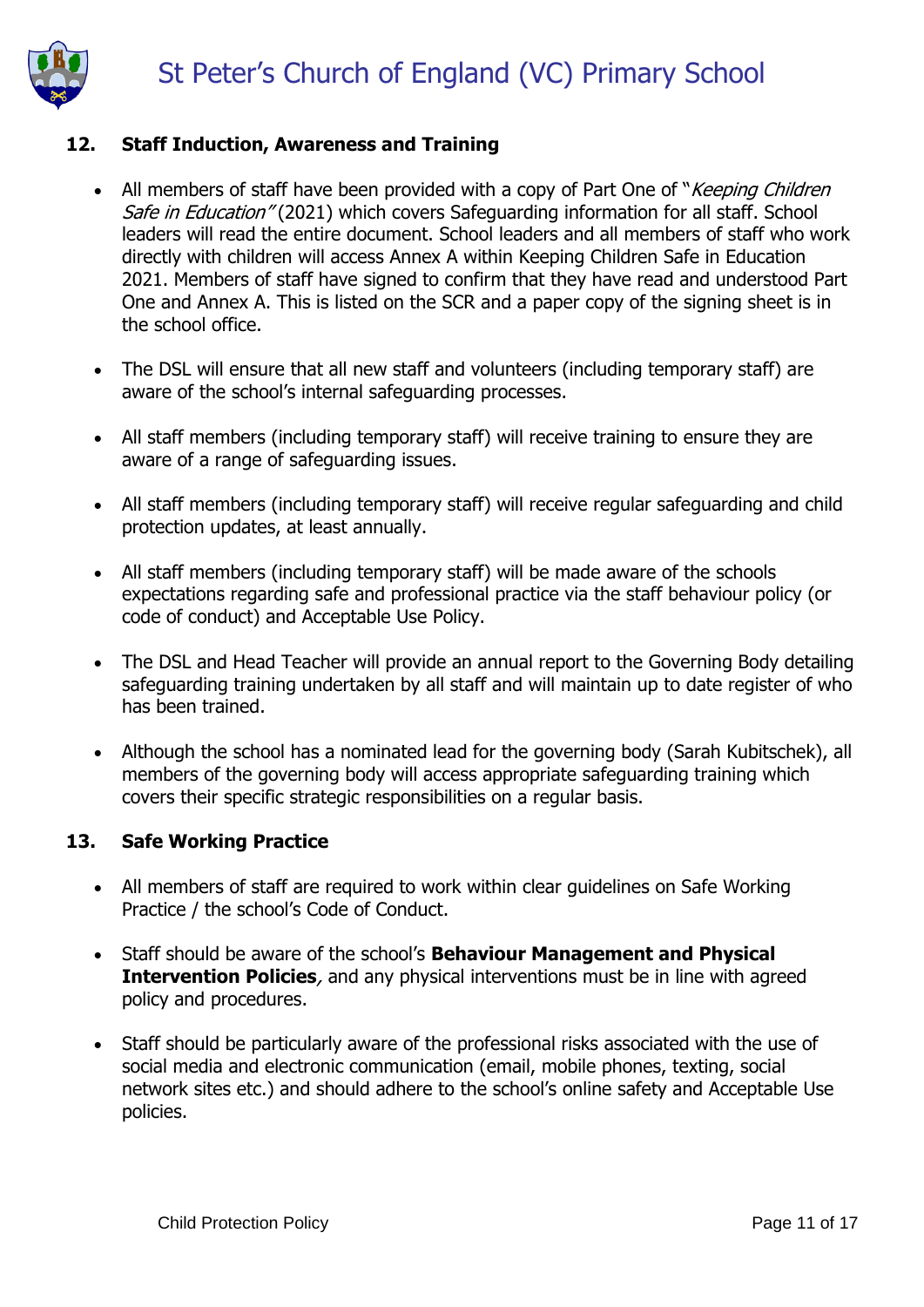

### **12. Staff Induction, Awareness and Training**

- All members of staff have been provided with a copy of Part One of "Keeping Children" Safe in Education" (2021) which covers Safeguarding information for all staff. School leaders will read the entire document. School leaders and all members of staff who work directly with children will access Annex A within Keeping Children Safe in Education 2021. Members of staff have signed to confirm that they have read and understood Part One and Annex A. This is listed on the SCR and a paper copy of the signing sheet is in the school office.
- The DSL will ensure that all new staff and volunteers (including temporary staff) are aware of the school's internal safeguarding processes.
- All staff members (including temporary staff) will receive training to ensure they are aware of a range of safeguarding issues.
- All staff members (including temporary staff) will receive regular safeguarding and child protection updates, at least annually.
- All staff members (including temporary staff) will be made aware of the schools expectations regarding safe and professional practice via the staff behaviour policy (or code of conduct) and Acceptable Use Policy.
- The DSL and Head Teacher will provide an annual report to the Governing Body detailing safeguarding training undertaken by all staff and will maintain up to date register of who has been trained.
- Although the school has a nominated lead for the governing body (Sarah Kubitschek), all members of the governing body will access appropriate safeguarding training which covers their specific strategic responsibilities on a regular basis.

#### **13. Safe Working Practice**

- All members of staff are required to work within clear guidelines on Safe Working Practice / the school's Code of Conduct.
- Staff should be aware of the school's **Behaviour Management and Physical Intervention Policies**, and any physical interventions must be in line with agreed policy and procedures.
- Staff should be particularly aware of the professional risks associated with the use of social media and electronic communication (email, mobile phones, texting, social network sites etc.) and should adhere to the school's online safety and Acceptable Use policies.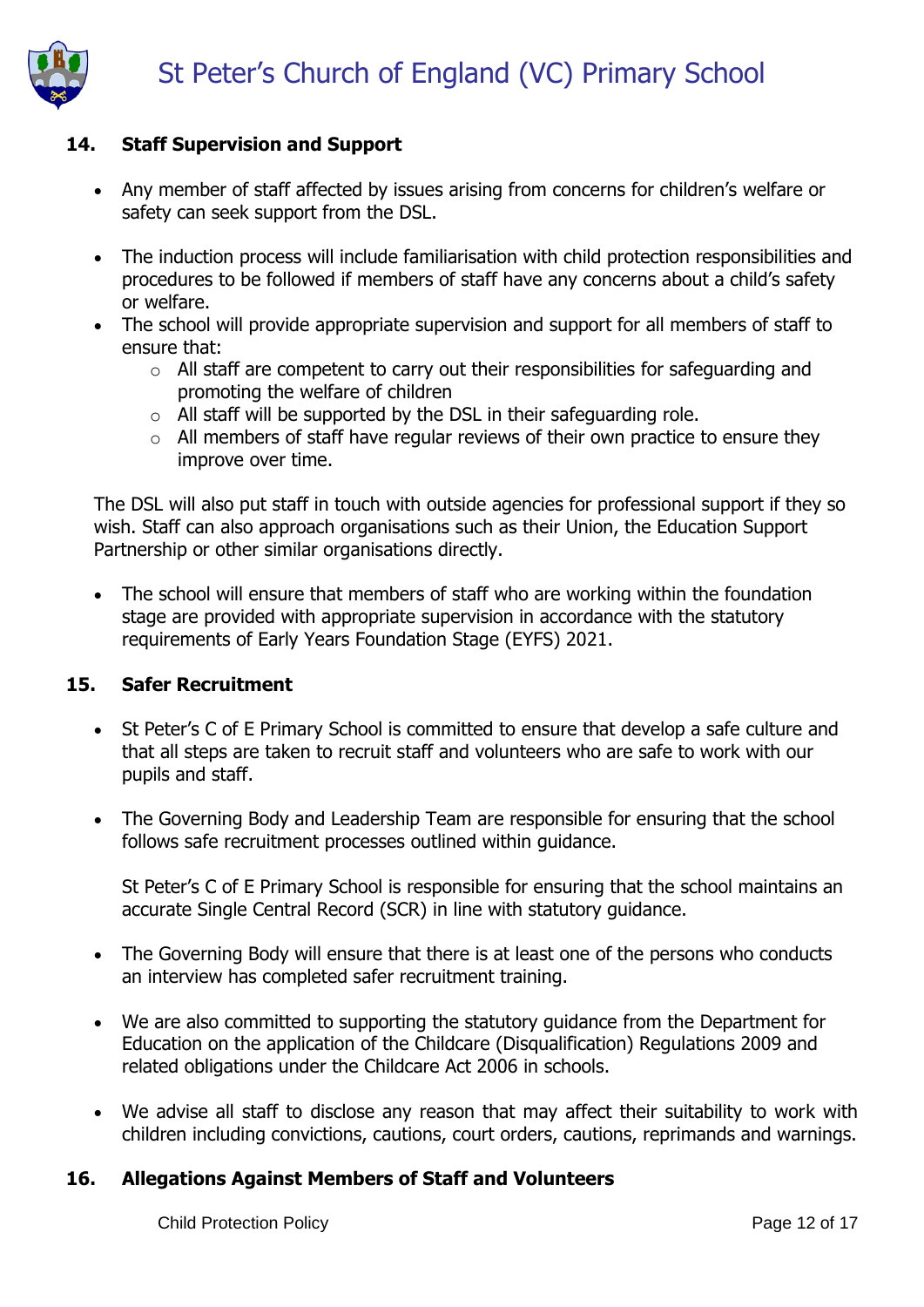# **14. Staff Supervision and Support**

- Any member of staff affected by issues arising from concerns for children's welfare or safety can seek support from the DSL.
- The induction process will include familiarisation with child protection responsibilities and procedures to be followed if members of staff have any concerns about a child's safety or welfare.
- The school will provide appropriate supervision and support for all members of staff to ensure that:
	- $\circ$  All staff are competent to carry out their responsibilities for safeguarding and promoting the welfare of children
	- $\circ$  All staff will be supported by the DSL in their safeguarding role.
	- $\circ$  All members of staff have regular reviews of their own practice to ensure they improve over time.

The DSL will also put staff in touch with outside agencies for professional support if they so wish. Staff can also approach organisations such as their Union, the Education Support Partnership or other similar organisations directly.

• The school will ensure that members of staff who are working within the foundation stage are provided with appropriate supervision in accordance with the statutory requirements of Early Years Foundation Stage (EYFS) 2021.

### **15. Safer Recruitment**

- St Peter's C of E Primary School is committed to ensure that develop a safe culture and that all steps are taken to recruit staff and volunteers who are safe to work with our pupils and staff.
- The Governing Body and Leadership Team are responsible for ensuring that the school follows safe recruitment processes outlined within guidance.

St Peter's C of E Primary School is responsible for ensuring that the school maintains an accurate Single Central Record (SCR) in line with statutory guidance.

- The Governing Body will ensure that there is at least one of the persons who conducts an interview has completed safer recruitment training.
- We are also committed to supporting the statutory guidance from the Department for Education on the application of the Childcare (Disqualification) Regulations 2009 and related obligations under the Childcare Act 2006 in schools.
- We advise all staff to disclose any reason that may affect their suitability to work with children including convictions, cautions, court orders, cautions, reprimands and warnings.

### **16. Allegations Against Members of Staff and Volunteers**

Child Protection Policy **Page 12 of 17**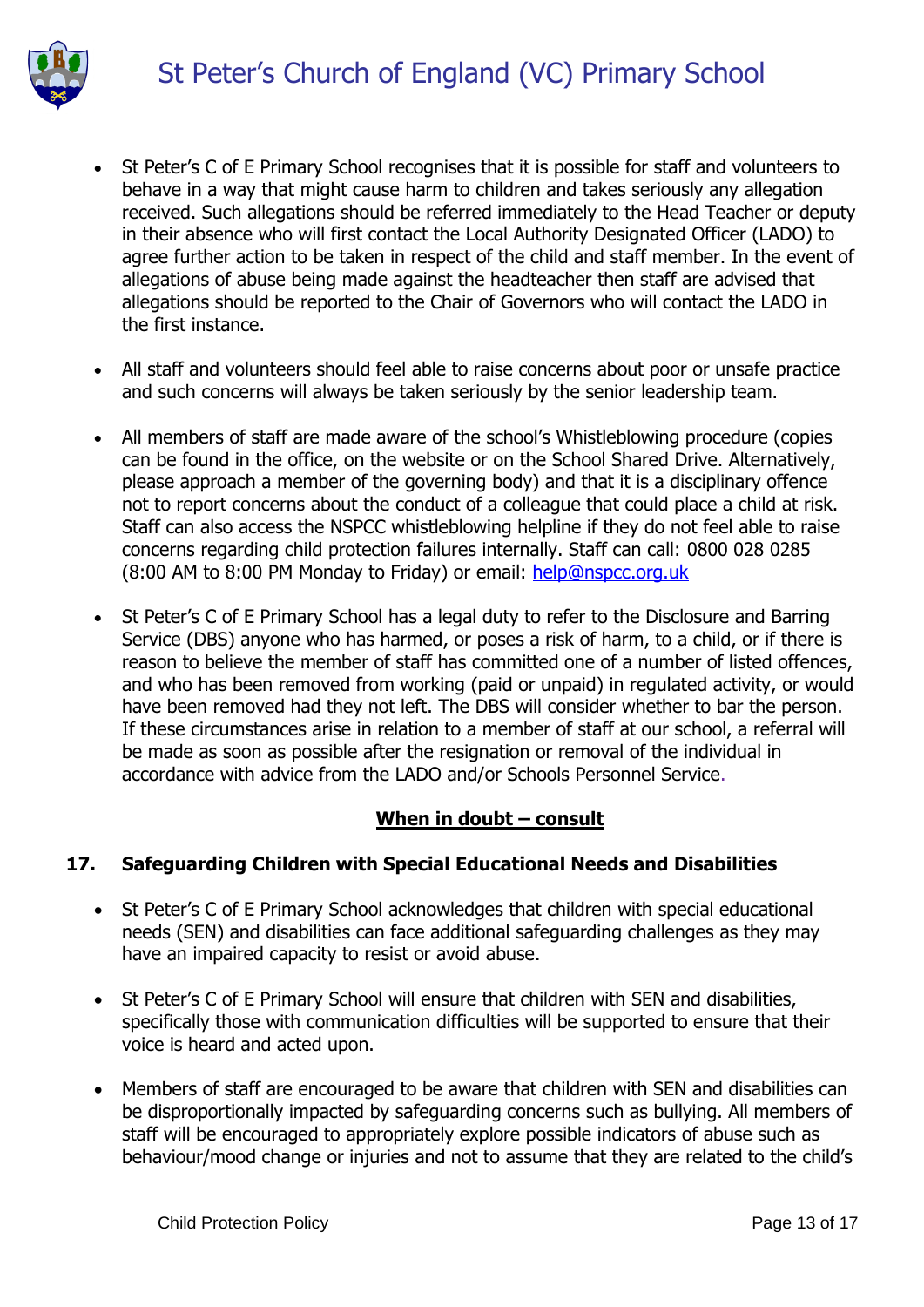

- St Peter's C of E Primary School recognises that it is possible for staff and volunteers to behave in a way that might cause harm to children and takes seriously any allegation received. Such allegations should be referred immediately to the Head Teacher or deputy in their absence who will first contact the Local Authority Designated Officer (LADO) to agree further action to be taken in respect of the child and staff member. In the event of allegations of abuse being made against the headteacher then staff are advised that allegations should be reported to the Chair of Governors who will contact the LADO in the first instance.
- All staff and volunteers should feel able to raise concerns about poor or unsafe practice and such concerns will always be taken seriously by the senior leadership team.
- All members of staff are made aware of the school's Whistleblowing procedure (copies can be found in the office, on the website or on the School Shared Drive. Alternatively, please approach a member of the governing body) and that it is a disciplinary offence not to report concerns about the conduct of a colleague that could place a child at risk. Staff can also access the NSPCC whistleblowing helpline if they do not feel able to raise concerns regarding child protection failures internally. Staff can call: 0800 028 0285 (8:00 AM to 8:00 PM Monday to Friday) or email: [help@nspcc.org.uk](mailto:help@nspcc.org.uk)
- St Peter's C of E Primary School has a legal duty to refer to the Disclosure and Barring Service (DBS) anyone who has harmed, or poses a risk of harm, to a child, or if there is reason to believe the member of staff has committed one of a number of listed offences, and who has been removed from working (paid or unpaid) in regulated activity, or would have been removed had they not left. The DBS will consider whether to bar the person. If these circumstances arise in relation to a member of staff at our school, a referral will be made as soon as possible after the resignation or removal of the individual in accordance with advice from the LADO and/or Schools Personnel Service.

### **When in doubt – consult**

### **17. Safeguarding Children with Special Educational Needs and Disabilities**

- St Peter's C of E Primary School acknowledges that children with special educational needs (SEN) and disabilities can face additional safeguarding challenges as they may have an impaired capacity to resist or avoid abuse.
- St Peter's C of E Primary School will ensure that children with SEN and disabilities, specifically those with communication difficulties will be supported to ensure that their voice is heard and acted upon.
- Members of staff are encouraged to be aware that children with SEN and disabilities can be disproportionally impacted by safeguarding concerns such as bullying. All members of staff will be encouraged to appropriately explore possible indicators of abuse such as behaviour/mood change or injuries and not to assume that they are related to the child's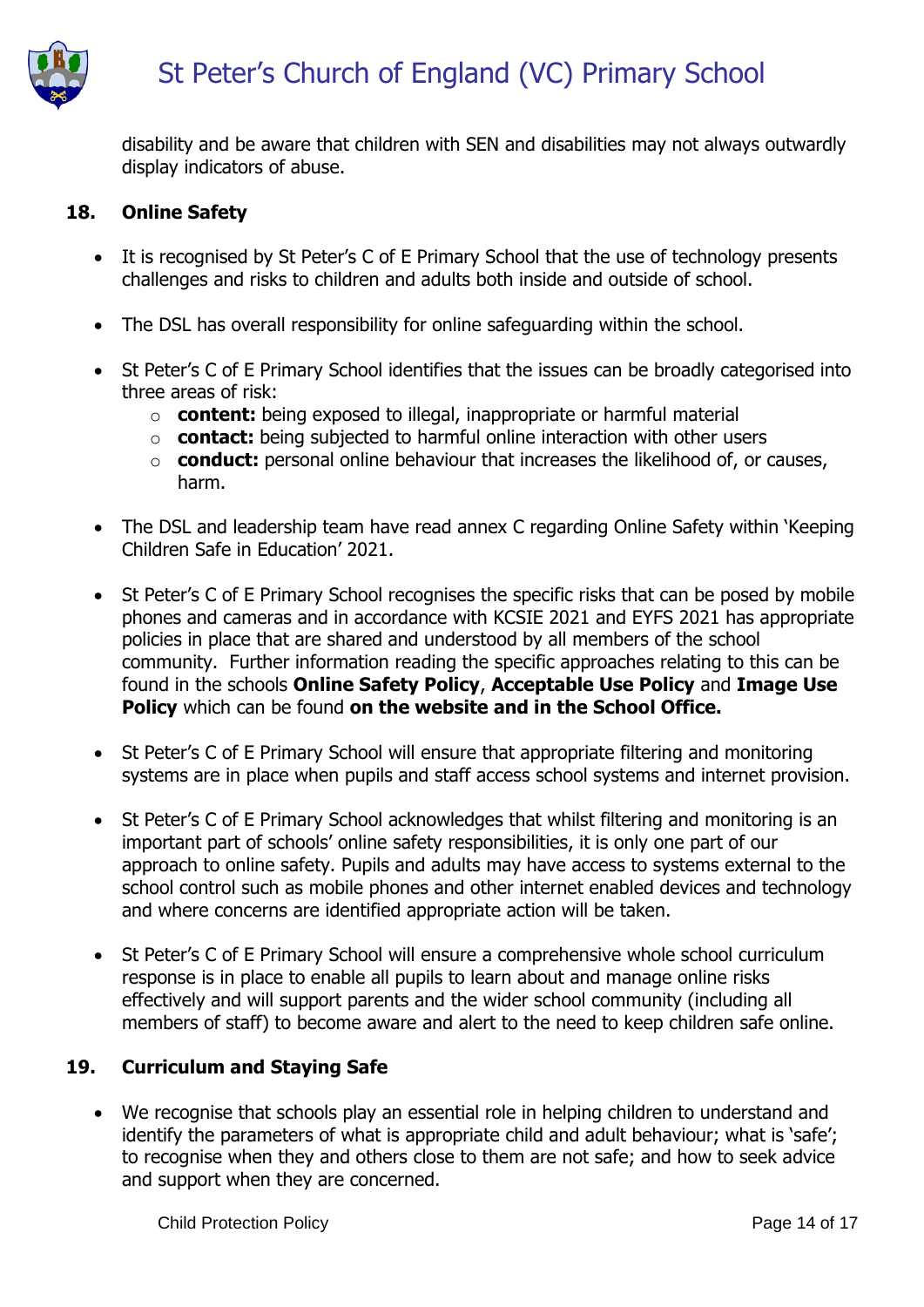

disability and be aware that children with SEN and disabilities may not always outwardly display indicators of abuse.

#### **18. Online Safety**

- It is recognised by St Peter's C of E Primary School that the use of technology presents challenges and risks to children and adults both inside and outside of school.
- The DSL has overall responsibility for online safeguarding within the school.
- St Peter's C of E Primary School identifies that the issues can be broadly categorised into three areas of risk:
	- o **content:** being exposed to illegal, inappropriate or harmful material
	- o **contact:** being subjected to harmful online interaction with other users
	- o **conduct:** personal online behaviour that increases the likelihood of, or causes, harm.
- The DSL and leadership team have read annex C regarding Online Safety within 'Keeping Children Safe in Education' 2021.
- St Peter's C of E Primary School recognises the specific risks that can be posed by mobile phones and cameras and in accordance with KCSIE 2021 and EYFS 2021 has appropriate policies in place that are shared and understood by all members of the school community. Further information reading the specific approaches relating to this can be found in the schools **Online Safety Policy**, **Acceptable Use Policy** and **Image Use Policy** which can be found **on the website and in the School Office.**
- St Peter's C of E Primary School will ensure that appropriate filtering and monitoring systems are in place when pupils and staff access school systems and internet provision.
- St Peter's C of E Primary School acknowledges that whilst filtering and monitoring is an important part of schools' online safety responsibilities, it is only one part of our approach to online safety. Pupils and adults may have access to systems external to the school control such as mobile phones and other internet enabled devices and technology and where concerns are identified appropriate action will be taken.
- St Peter's C of E Primary School will ensure a comprehensive whole school curriculum response is in place to enable all pupils to learn about and manage online risks effectively and will support parents and the wider school community (including all members of staff) to become aware and alert to the need to keep children safe online.

#### **19. Curriculum and Staying Safe**

 We recognise that schools play an essential role in helping children to understand and identify the parameters of what is appropriate child and adult behaviour; what is 'safe'; to recognise when they and others close to them are not safe; and how to seek advice and support when they are concerned.

Child Protection Policy **Page 14 of 17** Child Protection Policy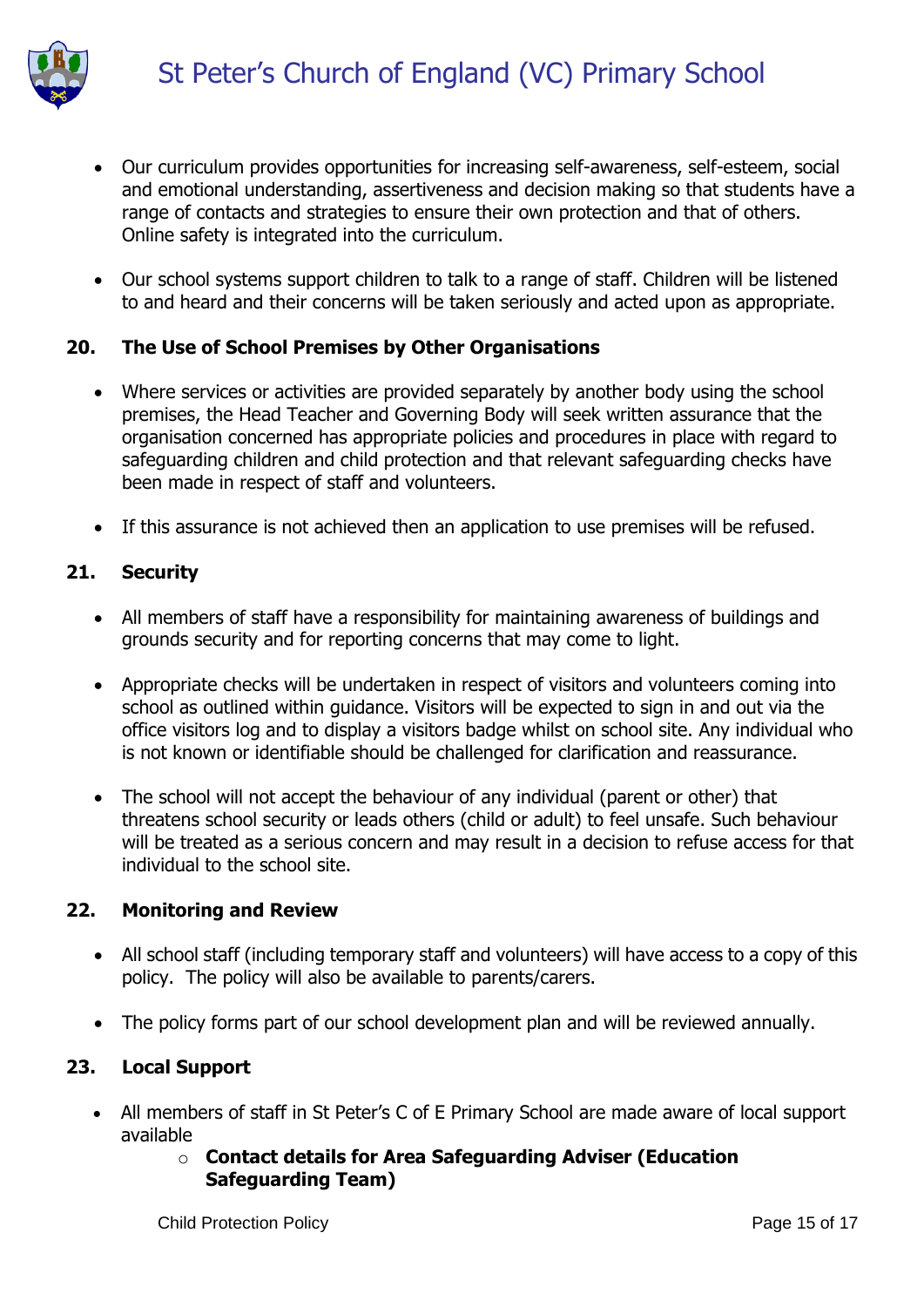

- Our curriculum provides opportunities for increasing self-awareness, self-esteem, social and emotional understanding, assertiveness and decision making so that students have a range of contacts and strategies to ensure their own protection and that of others. Online safety is integrated into the curriculum.
- Our school systems support children to talk to a range of staff. Children will be listened to and heard and their concerns will be taken seriously and acted upon as appropriate.

### **20. The Use of School Premises by Other Organisations**

- Where services or activities are provided separately by another body using the school premises, the Head Teacher and Governing Body will seek written assurance that the organisation concerned has appropriate policies and procedures in place with regard to safeguarding children and child protection and that relevant safeguarding checks have been made in respect of staff and volunteers.
- If this assurance is not achieved then an application to use premises will be refused.

# **21. Security**

- All members of staff have a responsibility for maintaining awareness of buildings and grounds security and for reporting concerns that may come to light.
- Appropriate checks will be undertaken in respect of visitors and volunteers coming into school as outlined within guidance. Visitors will be expected to sign in and out via the office visitors log and to display a visitors badge whilst on school site. Any individual who is not known or identifiable should be challenged for clarification and reassurance.
- The school will not accept the behaviour of any individual (parent or other) that threatens school security or leads others (child or adult) to feel unsafe. Such behaviour will be treated as a serious concern and may result in a decision to refuse access for that individual to the school site.

### **22. Monitoring and Review**

- All school staff (including temporary staff and volunteers) will have access to a copy of this policy. The policy will also be available to parents/carers.
- The policy forms part of our school development plan and will be reviewed annually.

# **23. Local Support**

- All members of staff in St Peter's C of E Primary School are made aware of local support available
	- o **Contact details for Area Safeguarding Adviser (Education Safeguarding Team)**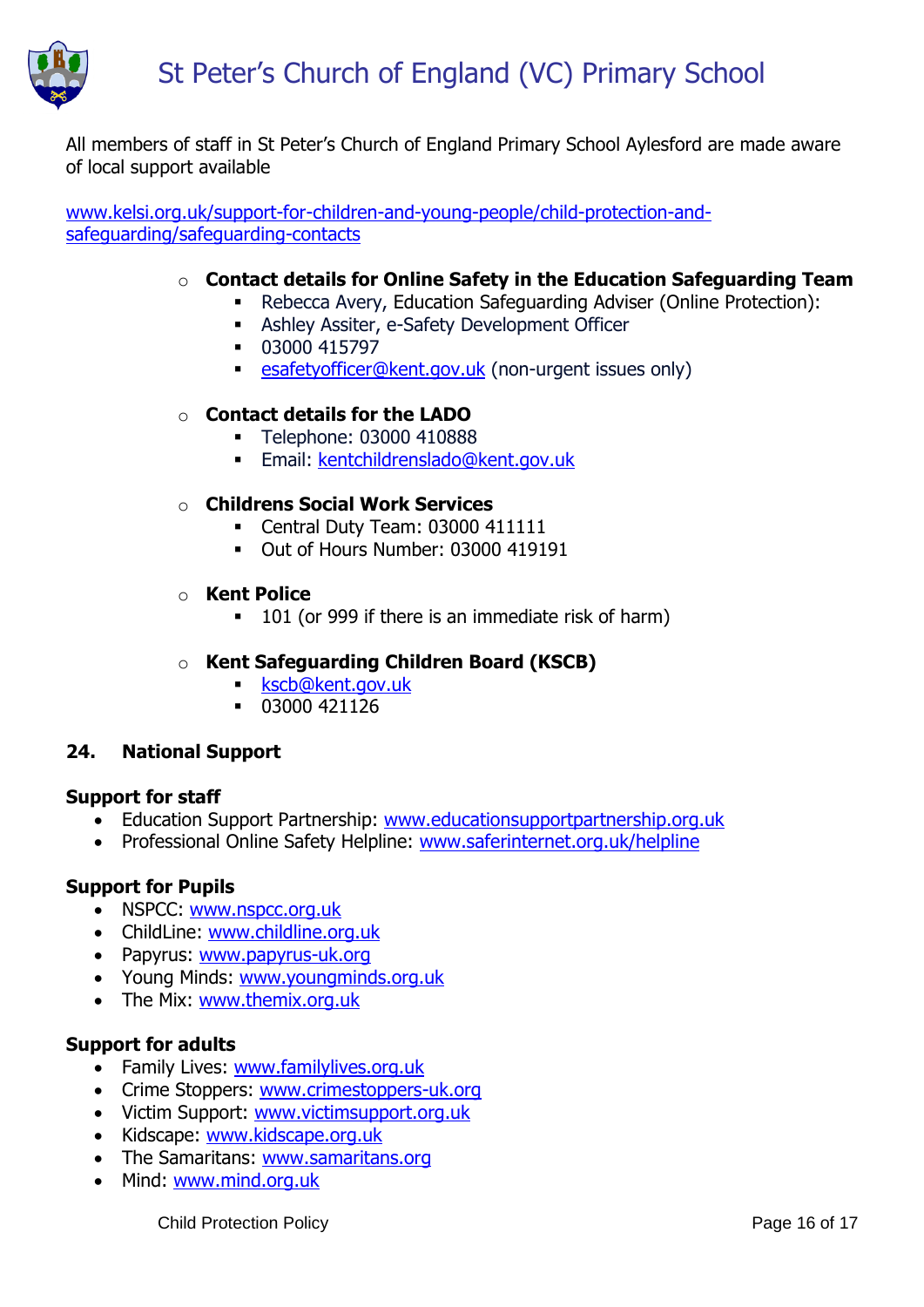

All members of staff in St Peter's Church of England Primary School Aylesford are made aware of local support available

[www.kelsi.org.uk/support-for-children-and-young-people/child-protection-and](http://www.kelsi.org.uk/support-for-children-and-young-people/child-protection-and-safeguarding/safeguarding-contacts)[safeguarding/safeguarding-contacts](http://www.kelsi.org.uk/support-for-children-and-young-people/child-protection-and-safeguarding/safeguarding-contacts)

# o **Contact details for Online Safety in the Education Safeguarding Team**

- Rebecca Avery, Education Safeguarding Adviser (Online Protection):
- **Ashley Assiter, e-Safety Development Officer**
- 03000 415797
- **Example:** [esafetyofficer@kent.gov.uk](mailto:esafetyofficer@kent.gov.uk) (non-urgent issues only)

#### o **Contact details for the LADO**

- **Telephone: 03000 410888**
- **Email: [kentchildrenslado@kent.gov.uk](mailto:kentchildrenslado@kent.gov.uk)**

#### o **Childrens Social Work Services**

- Central Duty Team: 03000 411111
- Out of Hours Number: 03000 419191

#### o **Kent Police**

■ 101 (or 999 if there is an immediate risk of harm)

# o **Kent Safeguarding Children Board (KSCB)**

- **[kscb@kent.gov.uk](mailto:kscb@kent.gov.uk)**
- $-03000421126$

### **24. National Support**

#### **Support for staff**

- Education Support Partnership: [www.educationsupportpartnership.org.uk](http://www.educationsupportpartnership.org.uk/)
- Professional Online Safety Helpline: [www.saferinternet.org.uk/helpline](http://www.saferinternet.org.uk/helpline)

#### **Support for Pupils**

- NSPCC: [www.nspcc.org.uk](http://www.nspcc.org.uk/)
- ChildLine: [www.childline.org.uk](http://www.childline.org.uk/)
- Papyrus: [www.papyrus-uk.org](http://www.papyrus-uk.org/)
- Young Minds: [www.youngminds.org.uk](http://www.youngminds.org.uk/)
- The Mix: [www.themix.org.uk](http://www.themix.org.uk/)

### **Support for adults**

- Family Lives: [www.familylives.org.uk](http://www.familylives.org.uk/)
- Crime Stoppers: [www.crimestoppers-uk.org](http://www.crimestoppers-uk.org/)
- Victim Support: [www.victimsupport.org.uk](http://www.victimsupport.org.uk/)
- Kidscape: [www.kidscape.org.uk](http://www.kidscape.org.uk/)
- The Samaritans: [www.samaritans.org](http://www.samaritans.org/)
- Mind: [www.mind.org.uk](http://www.mind.org.uk/)